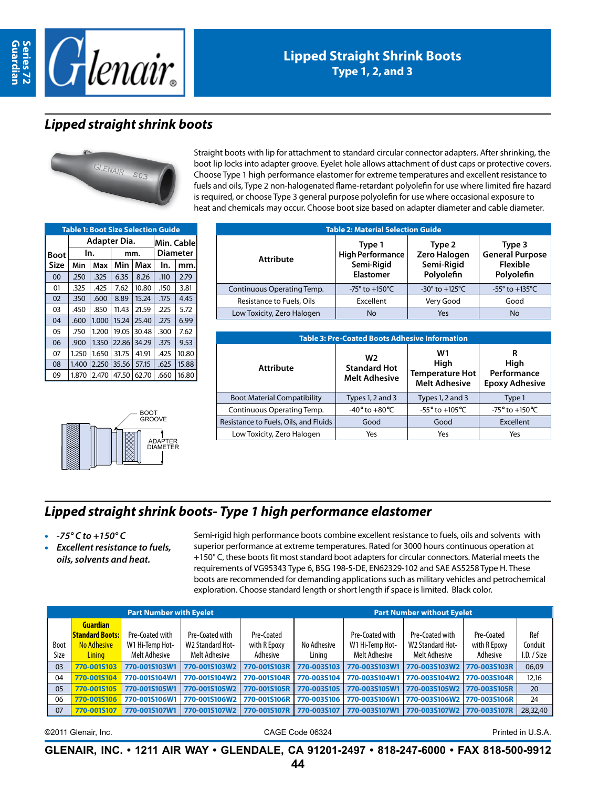



#### **Lipped Straight Shrink Boots Type 1, 2, and 3**

### *Lipped straight shrink boots*



Straight boots with lip for attachment to standard circular connector adapters. After shrinking, the boot lip locks into adapter groove. Eyelet hole allows attachment of dust caps or protective covers. Choose Type 1 high performance elastomer for extreme temperatures and excellent resistance to fuels and oils, Type 2 non-halogenated flame-retardant polyolefin for use where limited fire hazard is required, or choose Type 3 general purpose polyolefin for use where occasional exposure to heat and chemicals may occur. Choose boot size based on adapter diameter and cable diameter.

| <b>Table 1: Boot Size Selection Guide</b> |              |            |       |       |      |                 |  |  |  |  |  |
|-------------------------------------------|--------------|------------|-------|-------|------|-----------------|--|--|--|--|--|
|                                           | Adapter Dia. | Min. Cable |       |       |      |                 |  |  |  |  |  |
| <b>Boot</b>                               |              | In.        |       | mm.   |      | <b>Diameter</b> |  |  |  |  |  |
| Size                                      | Min          | Max        | Min   | Max   | In.  | mm.             |  |  |  |  |  |
| 00                                        | .250         | .325       | 6.35  | 8.26  | .110 | 2.79            |  |  |  |  |  |
| 01                                        | .325         | .425       | 7.62  | 10.80 | .150 | 3.81            |  |  |  |  |  |
| 02                                        | .350         | .600       | 8.89  | 15.24 | .175 | 4.45            |  |  |  |  |  |
| 03                                        | .450         | .850       | 11.43 | 21.59 | .225 | 5.72            |  |  |  |  |  |
| 04                                        | .600         | 1.000      | 15.24 | 25.40 | .275 | 6.99            |  |  |  |  |  |
| 05                                        | .750         | 1.200      | 19.05 | 30.48 | .300 | 7.62            |  |  |  |  |  |
| 06                                        | .900         | 1.350      | 22.86 | 34.29 | .375 | 9.53            |  |  |  |  |  |
| 07                                        | 1.250        | 1.650      | 31.75 | 41.91 | .425 | 10.80           |  |  |  |  |  |
| 08                                        | 1.400        | 2.250      | 35.56 | 57.15 | .625 | 15.88           |  |  |  |  |  |
| 09                                        | 1.870        | 2.470      | 47.50 | 62.70 | .660 | 16.80           |  |  |  |  |  |



| <b>Table 2: Material Selection Guide</b> |                                                              |                                                    |                                                            |  |  |  |  |  |  |
|------------------------------------------|--------------------------------------------------------------|----------------------------------------------------|------------------------------------------------------------|--|--|--|--|--|--|
| <b>Attribute</b>                         | Type 1<br><b>High Performance</b><br>Semi-Rigid<br>Elastomer | Type 2<br>Zero Halogen<br>Semi-Rigid<br>Polyolefin | Type 3<br><b>General Purpose</b><br>Flexible<br>Polyolefin |  |  |  |  |  |  |
| Continuous Operating Temp.               | -75 $^{\circ}$ to +150 $^{\circ}$ C                          | -30 $^{\circ}$ to +125 $^{\circ}$ C                | -55 $^{\circ}$ to +135 $^{\circ}$ C                        |  |  |  |  |  |  |
| Resistance to Fuels, Oils                | Excellent                                                    | Very Good                                          | Good                                                       |  |  |  |  |  |  |
| Low Toxicity, Zero Halogen               | No                                                           | Yes                                                | <b>No</b>                                                  |  |  |  |  |  |  |

| <b>Table 3: Pre-Coated Boots Adhesive Information</b> |                                                               |                                                              |                                                   |  |  |  |  |  |  |
|-------------------------------------------------------|---------------------------------------------------------------|--------------------------------------------------------------|---------------------------------------------------|--|--|--|--|--|--|
| <b>Attribute</b>                                      | W <sub>2</sub><br><b>Standard Hot</b><br><b>Melt Adhesive</b> | W1<br>High<br><b>Temperature Hot</b><br><b>Melt Adhesive</b> | R<br>High<br>Performance<br><b>Epoxy Adhesive</b> |  |  |  |  |  |  |
| <b>Boot Material Compatibility</b>                    | Types 1, 2 and 3                                              | Types 1, 2 and 3                                             | Type 1                                            |  |  |  |  |  |  |
| Continuous Operating Temp.                            | $-40^{\circ}$ to $+80^{\circ}$ C                              | $-55^{\circ}$ to $+105^{\circ}$ C                            | -75 $^{\circ}$ to +150 $^{\circ}$ C               |  |  |  |  |  |  |
| Resistance to Fuels, Oils, and Fluids                 | Good                                                          | Good                                                         | Excellent                                         |  |  |  |  |  |  |
| Low Toxicity, Zero Halogen                            | Yes                                                           | Yes                                                          | Yes                                               |  |  |  |  |  |  |

## *Lipped straight shrink boots- Type 1 high performance elastomer*

- • *-75° C to +150° C*
- **Excellent resistance to fuels,** *oils, solvents and heat.*

Semi-rigid high performance boots combine excellent resistance to fuels, oils and solvents with superior performance at extreme temperatures. Rated for 3000 hours continuous operation at +150° C, these boots fit most standard boot adapters for circular connectors. Material meets the requirements of VG95343 Type 6, BSG 198-5-DE, EN62329-102 and SAE AS5258 Type H. These boots are recommended for demanding applications such as military vehicles and petrochemical exploration. Choose standard length or short length if space is limited. Black color.

|      |                                                                 | <b>Part Number with Eyelet</b>     |                                            |                            | <b>Part Number without Eyelet</b> |                                    |                                            |                            |                |  |  |
|------|-----------------------------------------------------------------|------------------------------------|--------------------------------------------|----------------------------|-----------------------------------|------------------------------------|--------------------------------------------|----------------------------|----------------|--|--|
| Boot | <b>Guardian</b><br><b>Standard Boots:</b><br><b>No Adhesive</b> | Pre-Coated with<br>W1 Hi-Temp Hot- | Pre-Coated with<br><b>W2 Standard Hot-</b> | Pre-Coated<br>with R Epoxy | No Adhesive                       | Pre-Coated with<br>W1 Hi-Temp Hot- | Pre-Coated with<br><b>W2 Standard Hot-</b> | Pre-Coated<br>with R Epoxy | Ref<br>Conduit |  |  |
| Size | <b>Lining</b>                                                   | Melt Adhesive                      | Melt Adhesive                              | Adhesive                   | Linina                            | Melt Adhesive                      | Melt Adhesive                              | Adhesive                   | I.D. / Size    |  |  |
| 03   | 770-001S103                                                     | 770-001S103W1                      | 770-001S103W2                              | 770-001S103R               | 770-003S103                       | 770-003S103W1                      | 770-003S103W2                              | 770-003S103R               | 06,09          |  |  |
| 04   | 770-001S104                                                     | 770-001S104W1                      | 770-001S104W2                              | 770-001S104R               | 770-003S104                       | 770-003S104W1                      | 770-003S104W2                              | 770-003S104R               | 12,16          |  |  |
| 05   | 770-001S105                                                     | 770-001S105W1                      | 770-001S105W2                              | 770-001S105R               | 770-003S105                       | 770-003S105W1                      | 770-003S105W2                              | 770-003S105R               | 20             |  |  |
| 06   | 770-001S106                                                     | 770-001S106W1                      | 770-001S106W2                              | 770-001S106R               | 770-003S106                       | 770-003S106W1                      | 770-003S106W2                              | 770-003S106R               | 24             |  |  |
| 07   | 770-001S107                                                     | 770-001S107W1                      | 770-001S107W2                              | 770-001S107R 770-003S107   |                                   | <b>770-003S107W1</b>               | 770-003S107W2                              | 770-003S107R               | 28,32,40       |  |  |

©2011 Glenair, Inc. CAGE Code 06324 Printed in U.S.A.

**GLENAIR, INC. • 1211 AIR WAY • GLENDALE, CA 91201-2497 • 818-247-6000 • FAX 818-500-9912**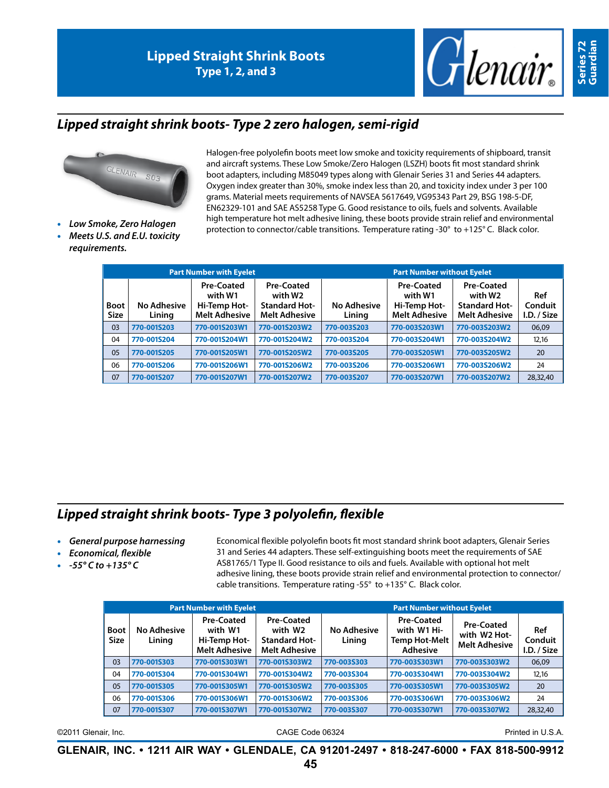

### *Lipped straight shrink boots- Type 2 zero halogen, semi-rigid*



- 
- **Meets U.S. and E.U. toxicity** *requirements.*

Halogen-free polyolefin boots meet low smoke and toxicity requirements of shipboard, transit and aircraft systems. These Low Smoke/Zero Halogen (LSZH) boots fit most standard shrink boot adapters, including M85049 types along with Glenair Series 31 and Series 44 adapters. Oxygen index greater than 30%, smoke index less than 20, and toxicity index under 3 per 100 grams. Material meets requirements of NAVSEA 5617649, VG95343 Part 29, BSG 198-5-DF, EN62329-101 and SAE AS5258 Type G. Good resistance to oils, fuels and solvents. Available high temperature hot melt adhesive lining, these boots provide strain relief and environmental protection to connector/cable transitions. Temperature rating -30° to +125° C. Black color. • *Low Smoke, Zero Halogen*

|                            |                       | <b>Part Number with Eyelet</b>                                       |                                                                       | <b>Part Number without Eyelet</b> |                                                                      |                                                                       |                               |  |  |  |  |
|----------------------------|-----------------------|----------------------------------------------------------------------|-----------------------------------------------------------------------|-----------------------------------|----------------------------------------------------------------------|-----------------------------------------------------------------------|-------------------------------|--|--|--|--|
| <b>Boot</b><br><b>Size</b> | No Adhesive<br>Lining | <b>Pre-Coated</b><br>with W1<br>Hi-Temp Hot-<br><b>Melt Adhesive</b> | Pre-Coated<br>with W2<br><b>Standard Hot-</b><br><b>Melt Adhesive</b> | No Adhesive<br>Lining             | <b>Pre-Coated</b><br>with W1<br>Hi-Temp Hot-<br><b>Melt Adhesive</b> | Pre-Coated<br>with W2<br><b>Standard Hot-</b><br><b>Melt Adhesive</b> | Ref<br>Conduit<br>I.D. / Size |  |  |  |  |
| 03                         | 770-001S203           | 770-001S203W1                                                        | 770-001S203W2                                                         | 770-003S203                       | 770-003S203W1                                                        | 770-003S203W2                                                         | 06,09                         |  |  |  |  |
| 04                         | 770-001S204           | 770-001S204W1                                                        | 770-001S204W2                                                         | 770-003S204                       | 770-003S204W1                                                        | 770-003S204W2                                                         | 12,16                         |  |  |  |  |
| 05                         | 770-001S205           | 770-001S205W1                                                        | 770-001S205W2                                                         | 770-003S205                       | 770-003S205W1                                                        | 770-003S205W2                                                         | 20                            |  |  |  |  |
| 06                         | 770-001S206           | 770-001S206W1                                                        | 770-001S206W2                                                         | 770-003S206                       | 770-003S206W1                                                        | 770-003S206W2                                                         | 24                            |  |  |  |  |
| 07                         | 770-001S207           | 770-001S207W1                                                        | 770-001S207W2                                                         | 770-003S207                       | 770-003S207W1                                                        | 770-003S207W2                                                         | 28,32,40                      |  |  |  |  |

# *Lipped straight shrink boots- Type 3 polyolefin, flexible*

- • *General purpose harnessing*
- **Economical, flexible**
- • *-55° C to +135° C*

Economical flexible polyolefin boots fit most standard shrink boot adapters, Glenair Series 31 and Series 44 adapters. These self-extinguishing boots meet the requirements of SAE AS81765/1 Type II. Good resistance to oils and fuels. Available with optional hot melt adhesive lining, these boots provide strain relief and environmental protection to connector/ cable transitions. Temperature rating -55° to +135° C. Black color.

|                            |                              | <b>Part Number with Eyelet</b>                                                                                                                |               | <b>Part Number without Eyelet</b> |                                                                      |                                                           |                               |  |  |  |  |
|----------------------------|------------------------------|-----------------------------------------------------------------------------------------------------------------------------------------------|---------------|-----------------------------------|----------------------------------------------------------------------|-----------------------------------------------------------|-------------------------------|--|--|--|--|
| <b>Boot</b><br><b>Size</b> | <b>No Adhesive</b><br>Lining | Pre-Coated<br><b>Pre-Coated</b><br>with W1<br>with W2<br><b>Standard Hot-</b><br>Hi-Temp Hot-<br><b>Melt Adhesive</b><br><b>Melt Adhesive</b> |               | <b>No Adhesive</b><br>Lining      | <b>Pre-Coated</b><br>with W1 Hi-<br><b>Temp Hot-Melt</b><br>Adhesive | <b>Pre-Coated</b><br>with W2 Hot-<br><b>Melt Adhesive</b> | Ref<br>Conduit<br>I.D. / Size |  |  |  |  |
| 03                         | 770-001S303                  | 770-001S303W1                                                                                                                                 | 770-001S303W2 | 770-003S303                       | 770-003S303W1                                                        | 770-003S303W2                                             | 06,09                         |  |  |  |  |
| 04                         | 770-001S304                  | 770-001S304W1                                                                                                                                 | 770-001S304W2 | 770-003S304                       | 770-003S304W1                                                        | 770-003S304W2                                             | 12.16                         |  |  |  |  |
| 05                         | 770-001S305                  | 770-001S305W1                                                                                                                                 | 770-001S305W2 | 770-003S305                       | 770-003S305W1                                                        | 770-003S305W2                                             | 20                            |  |  |  |  |
| 06                         | 770-001S306                  | 770-001S306W1                                                                                                                                 | 770-001S306W2 | 770-003S306                       | 770-003S306W1                                                        | 770-003S306W2                                             | 24                            |  |  |  |  |
| 07                         | 770-001S307                  | 770-001S307W1                                                                                                                                 | 770-001S307W2 | 770-003S307                       | 770-003S307W1                                                        | 770-003S307W2                                             | 28,32,40                      |  |  |  |  |

©2011 Glenair, Inc. CAGE Code 06324 Printed in U.S.A.

Series 72<br>Guardian **Series 72 Guardian**

**GLENAIR, INC. • 1211 AIR WAY • GLENDALE, CA 91201-2497 • 818-247-6000 • FAX 818-500-9912**